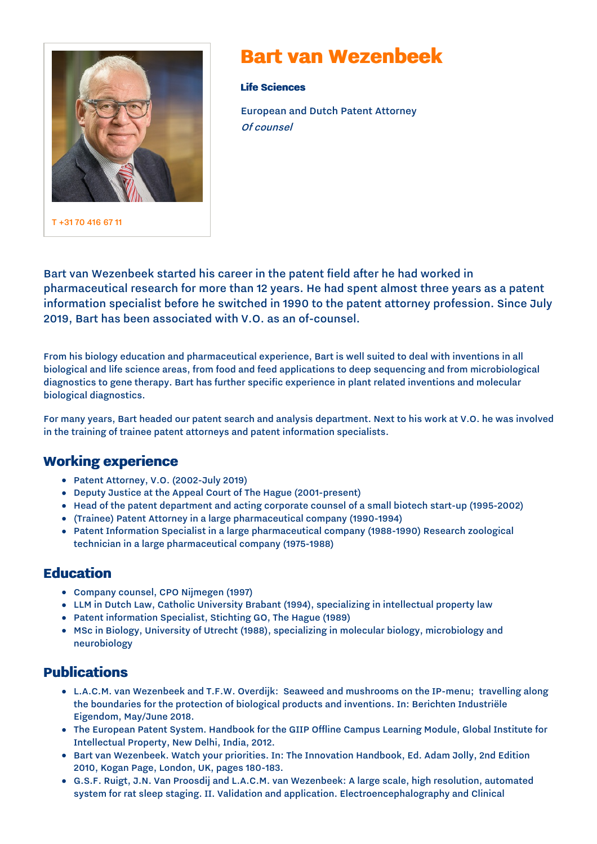

T [+31](tel:+31%2070%20416%2067%2011) 70 416 67 11

# **Bart van Wezenbeek**

**Life Sciences**

European and Dutch Patent Attorney Of counsel

Bart van Wezenbeek started his career in the patent field after he had worked in pharmaceutical research for more than 12 years. He had spent almost three years as a patent information specialist before he switched in 1990 to the patent attorney profession. Since July 2019, Bart has been associated with V.O. as an of-counsel.

From his biology education and pharmaceutical experience, Bart is well suited to deal with inventions in all biological and life science areas, from food and feed applications to deep sequencing and from microbiological diagnostics to gene therapy. Bart has further specific experience in plant related inventions and molecular biological diagnostics.

For many years, Bart headed our patent search and analysis department. Next to his work at V.O. he was involved in the training of trainee patent attorneys and patent information specialists.

## **Working experience**

- Patent Attorney, V.O. (2002-July 2019)
- Deputy Justice at the Appeal Court of The Hague (2001-present)
- Head of the patent department and acting corporate counsel of a small biotech start-up (1995-2002)
- (Trainee) Patent Attorney in a large pharmaceutical company (1990-1994)
- Patent Information Specialist in a large pharmaceutical company (1988-1990) Research zoological technician in a large pharmaceutical company (1975-1988)

#### **Education**

- Company counsel, CPO Nijmegen (1997)
- LLM in Dutch Law, Catholic University Brabant (1994), specializing in intellectual property law
- Patent information Specialist, Stichting GO, The Hague (1989)
- MSc in Biology, University of Utrecht (1988), specializing in molecular biology, microbiology and neurobiology

## **Publications**

- L.A.C.M. van Wezenbeek and T.F.W. Overdijk: Seaweed and mushrooms on the IP-menu; travelling along the boundaries for the protection of biological products and inventions. In: Berichten Industriële Eigendom, May/June 2018.
- The European Patent System. Handbook for the GIIP Offline Campus Learning Module, Global Institute for Intellectual Property, New Delhi, India, 2012.
- Bart van Wezenbeek. Watch your priorities. In: The Innovation Handbook, Ed. Adam Jolly, 2nd Edition 2010, Kogan Page, London, UK, pages 180-183.
- G.S.F. Ruigt, J.N. Van Proosdij and L.A.C.M. van Wezenbeek: A large scale, high resolution, automated system for rat sleep staging. II. Validation and application. Electroencephalography and Clinical